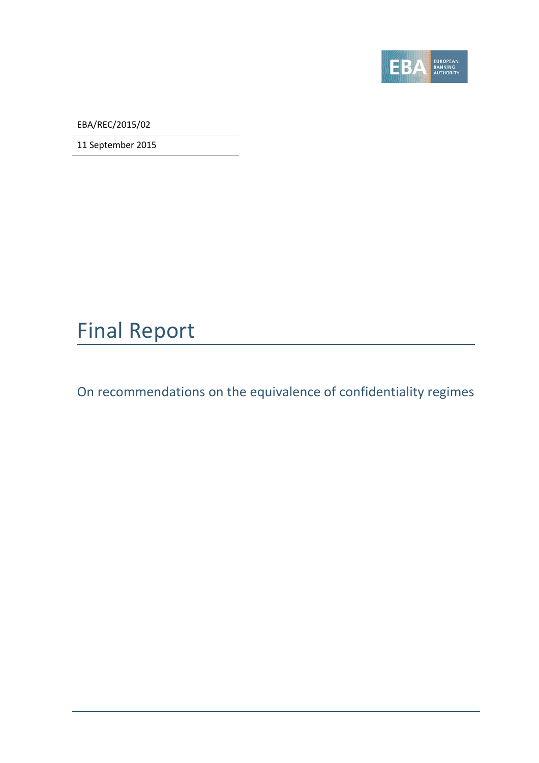

EBA/REC/2015/02

11 September 2015

### Final Report

On recommendations on the equivalence of confidentiality regimes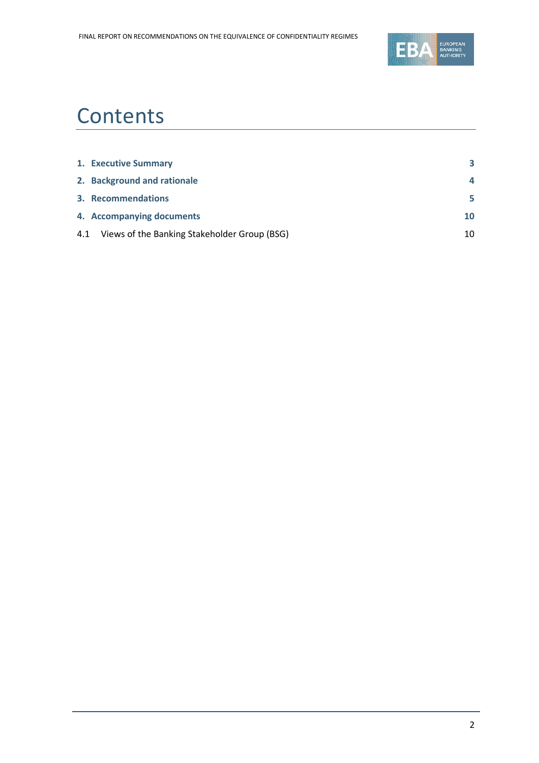

### **Contents**

| 1. Executive Summary                             | 3        |
|--------------------------------------------------|----------|
| 2. Background and rationale                      | $\Delta$ |
| 3. Recommendations                               | 5        |
| 4. Accompanying documents                        | 10       |
| 4.1 Views of the Banking Stakeholder Group (BSG) | 10       |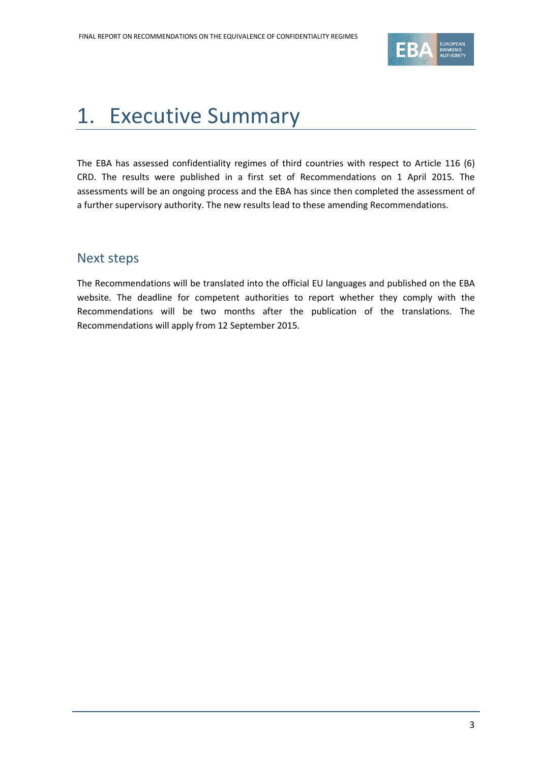

### <span id="page-2-0"></span>1. Executive Summary

The EBA has assessed confidentiality regimes of third countries with respect to Article 116 (6) CRD. The results were published in a first set of Recommendations on 1 April 2015. The assessments will be an ongoing process and the EBA has since then completed the assessment of a further supervisory authority. The new results lead to these amending Recommendations.

#### Next steps

The Recommendations will be translated into the official EU languages and published on the EBA website. The deadline for competent authorities to report whether they comply with the Recommendations will be two months after the publication of the translations. The Recommendations will apply from 12 September 2015.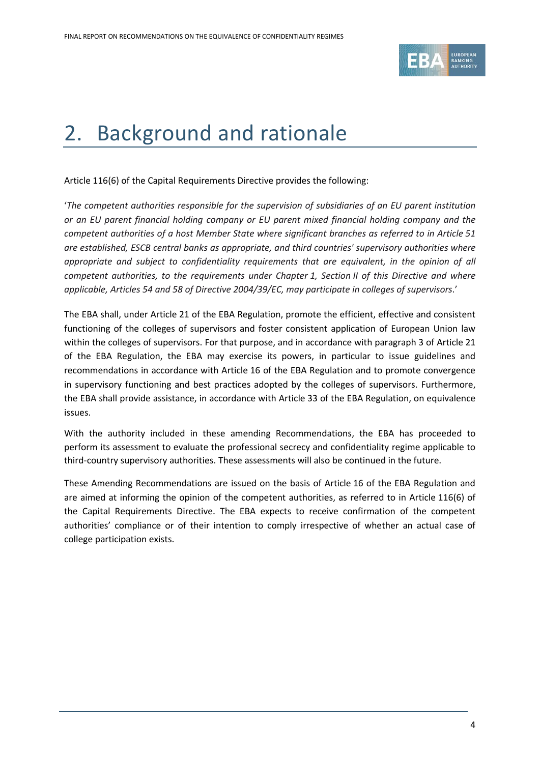

### <span id="page-3-0"></span>2. Background and rationale

Article 116(6) of the Capital Requirements Directive provides the following:

'*The competent authorities responsible for the supervision of subsidiaries of an EU parent institution or an EU parent financial holding company or EU parent mixed financial holding company and the competent authorities of a host Member State where significant branches as referred to in Article 51 are established, ESCB central banks as appropriate, and third countries' supervisory authorities where appropriate and subject to confidentiality requirements that are equivalent, in the opinion of all competent authorities, to the requirements under Chapter 1, Section II of this Directive and where applicable, Articles 54 and 58 of Directive 2004/39/EC, may participate in colleges of supervisors*.'

The EBA shall, under Article 21 of the EBA Regulation, promote the efficient, effective and consistent functioning of the colleges of supervisors and foster consistent application of European Union law within the colleges of supervisors. For that purpose, and in accordance with paragraph 3 of Article 21 of the EBA Regulation, the EBA may exercise its powers, in particular to issue guidelines and recommendations in accordance with Article 16 of the EBA Regulation and to promote convergence in supervisory functioning and best practices adopted by the colleges of supervisors. Furthermore, the EBA shall provide assistance, in accordance with Article 33 of the EBA Regulation, on equivalence issues.

With the authority included in these amending Recommendations, the EBA has proceeded to perform its assessment to evaluate the professional secrecy and confidentiality regime applicable to third-country supervisory authorities. These assessments will also be continued in the future.

These Amending Recommendations are issued on the basis of Article 16 of the EBA Regulation and are aimed at informing the opinion of the competent authorities, as referred to in Article 116(6) of the Capital Requirements Directive. The EBA expects to receive confirmation of the competent authorities' compliance or of their intention to comply irrespective of whether an actual case of college participation exists.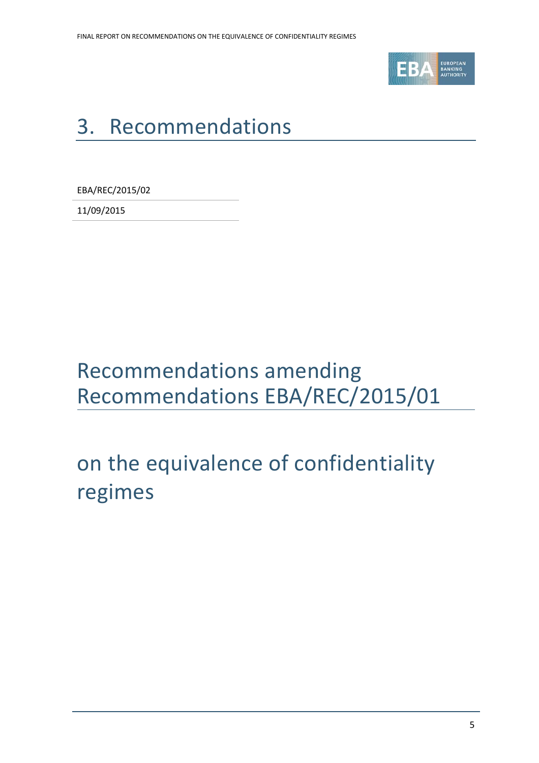

# <span id="page-4-0"></span>3. Recommendations

EBA/REC/2015/02

11/09/2015

### Recommendations amending Recommendations EBA/REC/2015/01

# on the equivalence of confidentiality regimes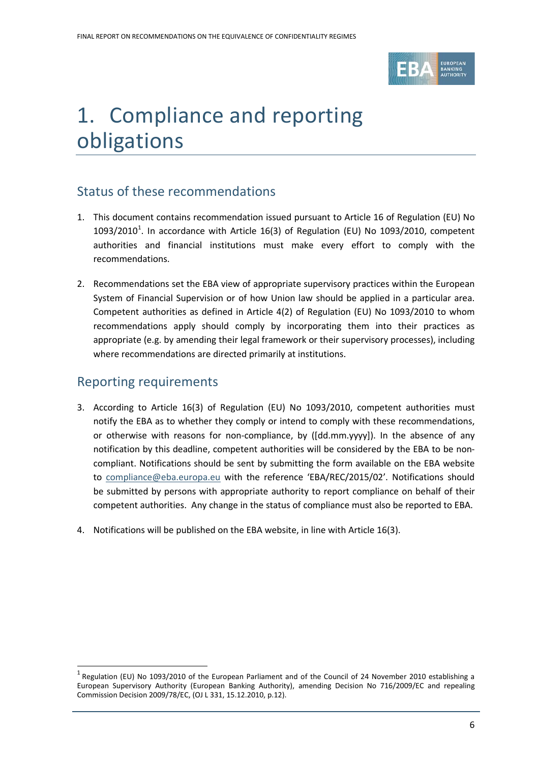

### 1. Compliance and reporting obligations

#### Status of these recommendations

- 1. This document contains recommendation issued pursuant to Article 16 of Regulation (EU) No [1](#page-5-0)093/2010<sup>1</sup>. In accordance with Article 16(3) of Regulation (EU) No 1093/2010, competent authorities and financial institutions must make every effort to comply with the recommendations.
- 2. Recommendations set the EBA view of appropriate supervisory practices within the European System of Financial Supervision or of how Union law should be applied in a particular area. Competent authorities as defined in Article 4(2) of Regulation (EU) No 1093/2010 to whom recommendations apply should comply by incorporating them into their practices as appropriate (e.g. by amending their legal framework or their supervisory processes), including where recommendations are directed primarily at institutions.

#### Reporting requirements

 $\overline{a}$ 

- 3. According to Article 16(3) of Regulation (EU) No 1093/2010, competent authorities must notify the EBA as to whether they comply or intend to comply with these recommendations, or otherwise with reasons for non-compliance, by ([dd.mm.yyyy]). In the absence of any notification by this deadline, competent authorities will be considered by the EBA to be noncompliant. Notifications should be sent by submitting the form available on the EBA website to [compliance@eba.europa.eu](mailto:compliance@eba.europa.eu) with the reference 'EBA/REC/2015/02'. Notifications should be submitted by persons with appropriate authority to report compliance on behalf of their competent authorities. Any change in the status of compliance must also be reported to EBA.
- 4. Notifications will be published on the EBA website, in line with Article 16(3).

<span id="page-5-0"></span> $1$  Regulation (EU) No 1093/2010 of the European Parliament and of the Council of 24 November 2010 establishing a European Supervisory Authority (European Banking Authority), amending Decision No 716/2009/EC and repealing Commission Decision 2009/78/EC, (OJ L 331, 15.12.2010, p.12).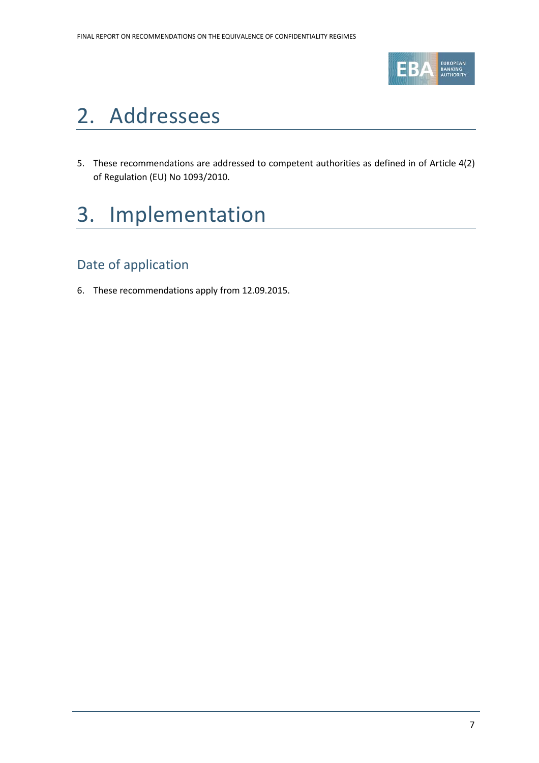

### 2. Addressees

5. These recommendations are addressed to competent authorities as defined in of Article 4(2) of Regulation (EU) No 1093/2010.

### 3. Implementation

### Date of application

6. These recommendations apply from 12.09.2015.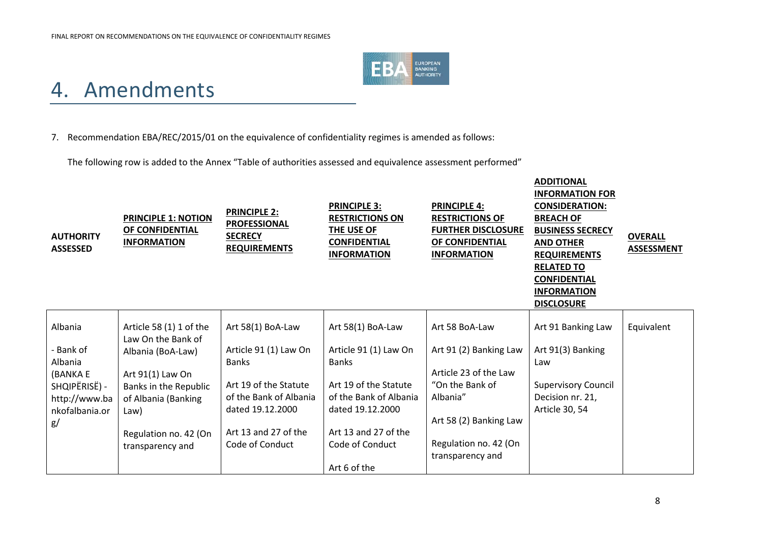

### 4. Amendments

#### 7. Recommendation EBA/REC/2015/01 on the equivalence of confidentiality regimes is amended as follows:

The following row is added to the Annex "Table of authorities assessed and equivalence assessment performed"

| <b>AUTHORITY</b><br><b>ASSESSED</b> | <b>PRINCIPLE 1: NOTION</b><br>OF CONFIDENTIAL<br><b>INFORMATION</b> | <b>PRINCIPLE 2:</b><br><b>PROFESSIONAL</b><br><b>SECRECY</b><br><b>REQUIREMENTS</b> | <b>PRINCIPLE 3:</b><br><b>RESTRICTIONS ON</b><br>THE USE OF<br><b>CONFIDENTIAL</b><br><b>INFORMATION</b> | <b>PRINCIPLE 4:</b><br><b>RESTRICTIONS OF</b><br><b>FURTHER DISCLOSURE</b><br>OF CONFIDENTIAL<br><b>INFORMATION</b> | <b>ADDITIONAL</b><br><b>INFORMATION FOR</b><br><b>CONSIDERATION:</b><br><b>BREACH OF</b><br><b>BUSINESS SECRECY</b><br><b>AND OTHER</b><br><b>REQUIREMENTS</b><br><b>RELATED TO</b><br><b>CONFIDENTIAL</b><br><b>INFORMATION</b><br><b>DISCLOSURE</b> | <b>OVERALL</b><br><b>ASSESSMENT</b> |
|-------------------------------------|---------------------------------------------------------------------|-------------------------------------------------------------------------------------|----------------------------------------------------------------------------------------------------------|---------------------------------------------------------------------------------------------------------------------|-------------------------------------------------------------------------------------------------------------------------------------------------------------------------------------------------------------------------------------------------------|-------------------------------------|
| Albania                             | Article 58 (1) 1 of the                                             | Art 58(1) BoA-Law                                                                   | Art 58(1) BoA-Law                                                                                        | Art 58 BoA-Law                                                                                                      | Art 91 Banking Law                                                                                                                                                                                                                                    | Equivalent                          |
| - Bank of<br>Albania<br>(BANKA E    | Law On the Bank of<br>Albania (BoA-Law)<br>Art 91(1) Law On         | Article 91 (1) Law On<br><b>Banks</b>                                               | Article 91 (1) Law On<br><b>Banks</b>                                                                    | Art 91 (2) Banking Law<br>Article 23 of the Law                                                                     | Art 91(3) Banking<br>Law                                                                                                                                                                                                                              |                                     |
| SHQIPËRISË) -                       | Banks in the Republic                                               | Art 19 of the Statute                                                               | Art 19 of the Statute                                                                                    | "On the Bank of                                                                                                     | <b>Supervisory Council</b>                                                                                                                                                                                                                            |                                     |
| http://www.ba<br>nkofalbania.or     | of Albania (Banking<br>Law)                                         | of the Bank of Albania<br>dated 19.12.2000                                          | of the Bank of Albania<br>dated 19.12.2000                                                               | Albania"<br>Art 58 (2) Banking Law                                                                                  | Decision nr. 21,<br>Article 30, 54                                                                                                                                                                                                                    |                                     |
| g/                                  | Regulation no. 42 (On<br>transparency and                           | Art 13 and 27 of the<br>Code of Conduct                                             | Art 13 and 27 of the<br>Code of Conduct                                                                  | Regulation no. 42 (On                                                                                               |                                                                                                                                                                                                                                                       |                                     |
|                                     |                                                                     |                                                                                     | Art 6 of the                                                                                             | transparency and                                                                                                    |                                                                                                                                                                                                                                                       |                                     |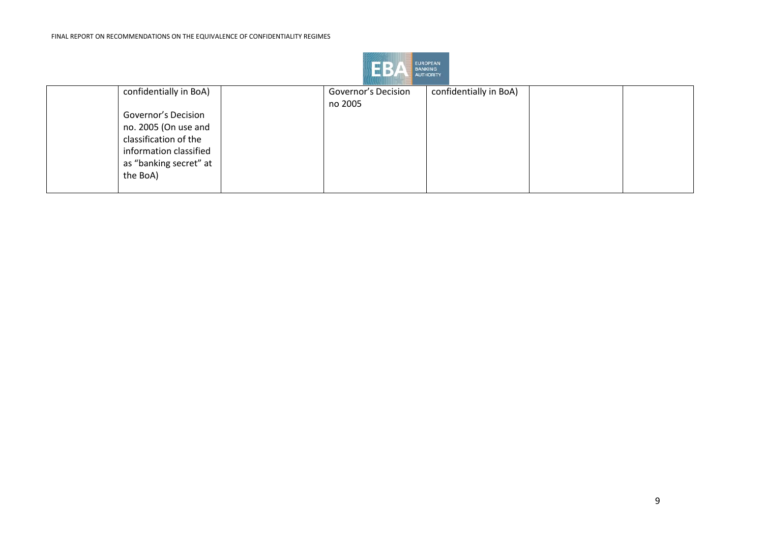

| confidentially in BoA) | Governor's Decision | confidentially in BoA) |  |
|------------------------|---------------------|------------------------|--|
|                        | no 2005             |                        |  |
| Governor's Decision    |                     |                        |  |
| no. 2005 (On use and   |                     |                        |  |
| classification of the  |                     |                        |  |
| information classified |                     |                        |  |
| as "banking secret" at |                     |                        |  |
| the BoA)               |                     |                        |  |
|                        |                     |                        |  |